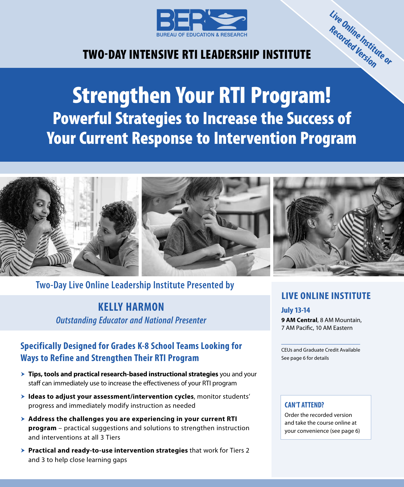

# TWO‑DAY INTENSIVE RTI LEADERSHIP INSTITUTE

# Strengthen Your RTI Program! Powerful Strategies to Increase the Success of Your Current Response to Intervention Program



**Two-Day Live Online Leadership Institute Presented by**

**KELLY HARMON** *Outstanding Educator and National Presenter*

## **Specifically Designed for Grades K-8 School Teams Looking for Ways to Refine and Strengthen Their RTI Program**

- **Tips, tools and practical research-based instructional strategies** you and your staff can immediately use to increase the effectiveness of your RTI program
- $\blacktriangleright$  **Ideas to adjust your assessment/intervention cycles**, monitor students' progress and immediately modify instruction as needed
- h **Address the challenges you are experiencing in your current RTI program** – practical suggestions and solutions to strengthen instruction and interventions at all 3 Tiers
- **Practical and ready-to-use intervention strategies** that work for Tiers 2 and 3 to help close learning gaps

## **LIVE ONLINE INSTITUTE**

**Train-the-Trainer Institute Live Online Institute or Recorded Version**

**July 13-14 9 AM Central**, 8 AM Mountain, 7 AM Pacific, 10 AM Eastern

CEUs and Graduate Credit Available See page 6 for details

#### **CAN'T ATTEND?**

Order the recorded version and take the course online at your convenience (see page 6)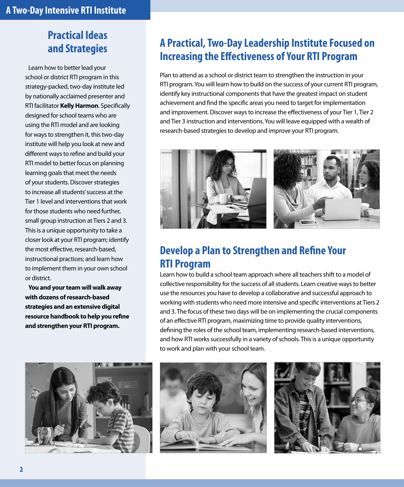# **Practical Ideas and Strategies**

Learn how to better lead your school or district RTI program in this strategy-packed, two-day institute led by nationally acclaimed presenter and RTI facilitator **Kelly Harmon**. Specifically designed for school teams who are using the RTI model and are looking for ways to strengthen it, this two-day institute will help you look at new and different ways to refine and build your RTI model to better focus on planning learning goals that meet the needs of your students. Discover strategies to increase all students' success at the Tier 1 level and interventions that work for those students who need further, small group instruction at Tiers 2 and 3. This is a unique opportunity to take a closer look at your RTI program; identify the most effective, research-based, instructional practices; and learn how to implement them in your own school or district.

**You and your team will walk away with dozens of research-based strategies and an extensive digital resource handbook to help you refine and strengthen your RTI program.**



# **A Practical, Two-Day Leadership Institute Focused on Increasing the Effectiveness of Your RTI Program**

Plan to attend as a school or district team to strengthen the instruction in your RTI program. You will learn how to build on the success of your current RTI program, identify key instructional components that have the greatest impact on student achievement and find the specific areas you need to target for implementation and improvement. Discover ways to increase the effectiveness of your Tier 1, Tier 2 and Tier 3 instruction and interventions. You will leave equipped with a wealth of research-based strategies to develop and improve your RTI program.



## **Develop a Plan to Strengthen and Refine Your RTI Program**

Learn how to build a school team approach where all teachers shift to a model of collective responsibility for the success of all students. Learn creative ways to better use the resources you have to develop a collaborative and successful approach to working with students who need more intensive and specific interventions at Tiers 2 and 3. The focus of these two days will be on implementing the crucial components of an effective RTI program, maximizing time to provide quality interventions, defining the roles of the school team, implementing research-based interventions, and how RTI works successfully in a variety of schools. This is a unique opportunity to work and plan with your school team.



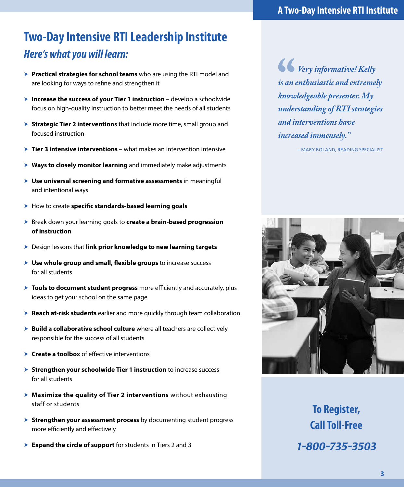# **Two-Day Intensive RTI Leadership Institute** *Here's what you will learn:*

- **> Practical strategies for school teams** who are using the RTI model and are looking for ways to refine and strengthen it
- **> Increase the success of your Tier 1 instruction** develop a schoolwide focus on high-quality instruction to better meet the needs of all students
- **> Strategic Tier 2 interventions** that include more time, small group and focused instruction
- **Tier 3 intensive interventions** what makes an intervention intensive
- **K** Ways to closely monitor learning and immediately make adjustments
- $\triangleright$  **Use universal screening and formative assessments** in meaningful and intentional ways
- > How to create specific standards-based learning goals
- h Break down your learning goals to **create a brain-based progression of instruction**
- **h** Design lessons that link prior knowledge to new learning targets
- $\triangleright$  **Use whole group and small, flexible groups** to increase success for all students
- **Tools to document student progress** more efficiently and accurately, plus ideas to get your school on the same page
- **Reach at-risk students** earlier and more quickly through team collaboration
- **> Build a collaborative school culture** where all teachers are collectively responsible for the success of all students
- **Create a toolbox** of effective interventions
- **Example 3 Strengthen your schoolwide Tier 1 instruction** to increase success for all students
- **h** Maximize the quality of Tier 2 interventions without exhausting staff or students
- **> Strengthen your assessment process** by documenting student progress more efficiently and effectively
- **Expand the circle of support** for students in Tiers 2 and 3

*Very informative! Kelly is an enthusiastic and extremely knowledgeable presenter. My understanding of RTI strategies and interventions have increased immensely."*

– MARY BOLAND, READING SPECIALIST



**To Register, Call Toll-Free** *1-800-735-3503*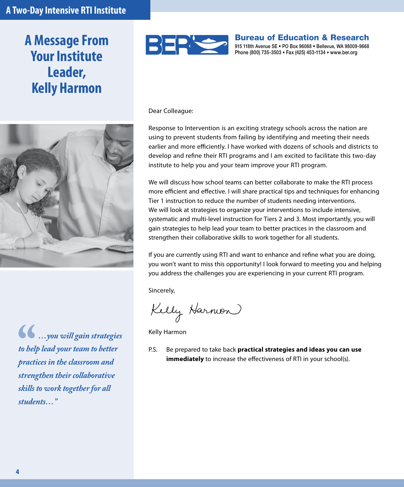# **A Message From Your Institute Leader, Kelly Harmon**



*…you will gain strategies to help lead your team to better practices in the classroom and strengthen their collaborative skills to work together for all students…"*



Bureau of Education & Research 915 118th Avenue SE • PO Box 96068 • Bellevue, WA 98009-9668 Phone (800) 735-3503 • Fax (425) 453-1134 • www.ber.org

Dear Colleague:

Response to Intervention is an exciting strategy schools across the nation are using to prevent students from failing by identifying and meeting their needs earlier and more efficiently. I have worked with dozens of schools and districts to develop and refine their RTI programs and I am excited to facilitate this two-day institute to help you and your team improve your RTI program.

We will discuss how school teams can better collaborate to make the RTI process more efficient and effective. I will share practical tips and techniques for enhancing Tier 1 instruction to reduce the number of students needing interventions. We will look at strategies to organize your interventions to include intensive, systematic and multi-level instruction for Tiers 2 and 3. Most importantly, you will gain strategies to help lead your team to better practices in the classroom and strengthen their collaborative skills to work together for all students.

If you are currently using RTI and want to enhance and refine what you are doing, you won't want to miss this opportunity! I look forward to meeting you and helping you address the challenges you are experiencing in your current RTI program.

Sincerely,

Kelly Harmon

Kelly Harmon

P.S. Be prepared to take back **practical strategies and ideas you can use immediately** to increase the effectiveness of RTI in your school(s).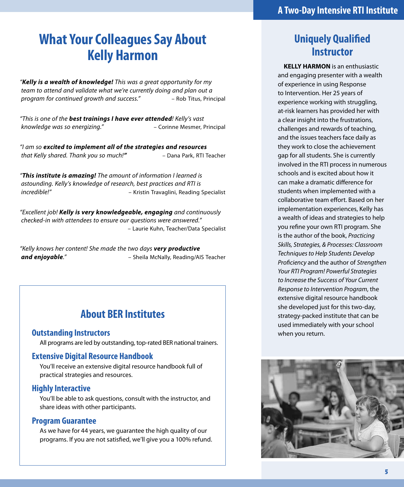# **What Your Colleagues Say About Kelly Harmon**

*"Kelly is a wealth of knowledge! This was a great opportunity for my team to attend and validate what we're currently doing and plan out a program for continued growth and success."* – Rob Titus, Principal

*"This is one of the best trainings I have ever attended! Kelly's vast knowledge was so energizing."* – Corinne Mesmer, Principal

*"I am so excited to implement all of the strategies and resources that Kelly shared. Thank you so much!"* – Dana Park, RTI Teacher

*"This institute is amazing! The amount of information I learned is astounding. Kelly's knowledge of research, best practices and RTI is incredible!"* – Kristin Travaglini, Reading Specialist

*"Excellent job! Kelly is very knowledgeable, engaging and continuously checked-in with attendees to ensure our questions were answered."* – Laurie Kuhn, Teacher/Data Specialist

*"Kelly knows her content! She made the two days very productive and enjoyable."* – Sheila McNally, Reading/AIS Teacher

## **About BER Institutes**

#### **Outstanding Instructors**

All programs are led by outstanding, top-rated BER national trainers.

#### **Extensive Digital Resource Handbook**

You'll receive an extensive digital resource handbook full of practical strategies and resources.

#### **Highly Interactive**

You'll be able to ask questions, consult with the instructor, and share ideas with other participants.

#### **Program Guarantee**

As we have for 44 years, we guarantee the high quality of our programs. If you are not satisfied, we'll give you a 100% refund.

## **Uniquely Qualified Instructor**

**KELLY HARMON** is an enthusiastic and engaging presenter with a wealth of experience in using Response to Intervention. Her 25 years of experience working with struggling, at-risk learners has provided her with a clear insight into the frustrations, challenges and rewards of teaching, and the issues teachers face daily as they work to close the achievement gap for all students. She is currently involved in the RTI process in numerous schools and is excited about how it can make a dramatic difference for students when implemented with a collaborative team effort. Based on her implementation experiences, Kelly has a wealth of ideas and strategies to help you refine your own RTI program. She is the author of the book, *Practicing Skills, Strategies, & Processes: Classroom Techniques to Help Students Develop Proficiency* and the author of *Strengthen Your RTI Program! Powerful Strategies to Increase the Success of Your Current Response to Intervention Program*, the extensive digital resource handbook she developed just for this two-day, strategy-packed institute that can be used immediately with your school when you return.

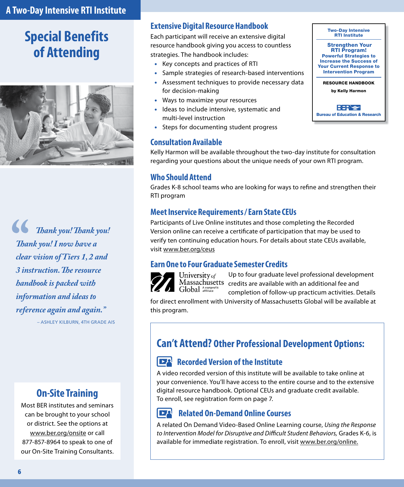# **Special Benefits of Attending**



*Thank you! Thank you! Thank you! I now have a clear vision of Tiers 1, 2 and 3 instruction. The resource handbook is packed with information and ideas to reference again and again."*

– ASHLEY KILBURN, 4TH GRADE AIS

## **On‑Site Training**

Most BER institutes and seminars can be brought to your school or district. See the options at www.ber.org/onsite or call 877-857-8964 to speak to one of our On-Site Training Consultants.

### **Extensive Digital Resource Handbook**

Each participant will receive an extensive digital resource handbook giving you access to countless strategies. The handbook includes:

- Key concepts and practices of RTI
- Sample strategies of research-based interventions
- Assessment techniques to provide necessary data for decision-making
- Ways to maximize your resources
- Ideas to include intensive, systematic and multi-level instruction
- Steps for documenting student progress

#### **Consultation Available**

by Kelly Harmon **BER S** Bureau of Education & Research

Two-Day Intensive RTI Institute Strengthen Your RTI Program! Powerful Strategies to Increase the Success of Your Current Response to Intervention Program RESOURCE HANDBOOK

Kelly Harmon will be available throughout the two-day institute for consultation regarding your questions about the unique needs of your own RTI program.

#### **Who Should Attend**

Grades K-8 school teams who are looking for ways to refine and strengthen their RTI program

#### **Meet Inservice Requirements / Earn State CEUs**

Participants of Live Online institutes and those completing the Recorded Version online can receive a certificate of participation that may be used to verify ten continuing education hours. For details about state CEUs available, visit www.ber.org/ceus

### **Earn One to Four Graduate Semester Credits**



University of Global Anonprofi

Up to four graduate level professional development Massachusetts credits are available with an additional fee and completion of follow-up practicum activities. Details

for direct enrollment with University of Massachusetts Global will be available at this program.

## **Can't Attend? Other Professional Development Options:**

## **Recorded Version of the Institute**

A video recorded version of this institute will be available to take online at your convenience. You'll have access to the entire course and to the extensive digital resource handbook. Optional CEUs and graduate credit available. To enroll, see registration form on page 7.

#### **Related On-Demand Online Courses**  $\mathsf{P}^\mathsf{A}$

A related On Demand Video-Based Online Learning course, *Using the Response to Intervention Model for Disruptive and Difficult Student Behaviors,* Grades K-6, is available for immediate registration. To enroll, visit www.ber.org/online.

**6**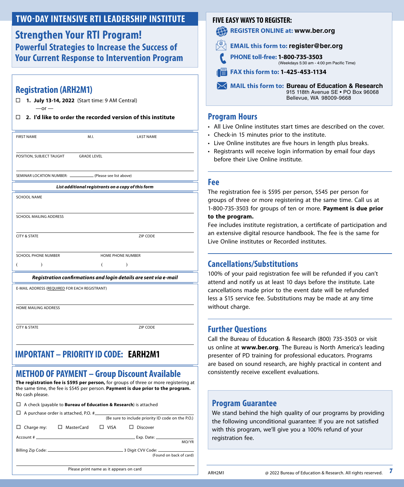## **TWO‑DAY INTENSIVE RTI LEADERSHIP INSTITUTE**

**Strengthen Your RTI Program! Powerful Strategies to Increase the Success of Your Current Response to Intervention Program**

### **Registration (ARH2M1)**

**1. July 13-14, 2022** (Start time: 9 AM Central)

 $-$ or  $-$ 

**2. I'd like to order the recorded version of this institute**

| <b>FIRST NAME</b>                                               | M.L                | <b>LAST NAME</b>                                                 |  |  |  |  |  |
|-----------------------------------------------------------------|--------------------|------------------------------------------------------------------|--|--|--|--|--|
|                                                                 |                    |                                                                  |  |  |  |  |  |
|                                                                 |                    |                                                                  |  |  |  |  |  |
| POSITION, SUBJECT TAUGHT                                        | <b>GRADE LEVEL</b> |                                                                  |  |  |  |  |  |
|                                                                 |                    |                                                                  |  |  |  |  |  |
| SEMINAR LOCATION NUMBER: ______________ (Please see list above) |                    |                                                                  |  |  |  |  |  |
| List additional registrants on a copy of this form              |                    |                                                                  |  |  |  |  |  |
| SCHOOL NAME                                                     |                    |                                                                  |  |  |  |  |  |
|                                                                 |                    |                                                                  |  |  |  |  |  |
|                                                                 |                    |                                                                  |  |  |  |  |  |
| <b>SCHOOL MAILING ADDRESS</b>                                   |                    |                                                                  |  |  |  |  |  |
|                                                                 |                    |                                                                  |  |  |  |  |  |
| <b>CITY &amp; STATE</b>                                         |                    | ZIP CODE                                                         |  |  |  |  |  |
|                                                                 |                    |                                                                  |  |  |  |  |  |
| SCHOOL PHONE NUMBER<br>HOME PHONE NUMBER                        |                    |                                                                  |  |  |  |  |  |
|                                                                 |                    | )                                                                |  |  |  |  |  |
|                                                                 |                    |                                                                  |  |  |  |  |  |
|                                                                 |                    | Registration confirmations and login details are sent via e-mail |  |  |  |  |  |
| E-MAIL ADDRESS (REQUIRED FOR EACH REGISTRANT)                   |                    |                                                                  |  |  |  |  |  |
|                                                                 |                    |                                                                  |  |  |  |  |  |
|                                                                 |                    |                                                                  |  |  |  |  |  |

HOME MAILING ADDRESS

**CITY & STATE ZIP CODE** 

#### **IMPORTANT – PRIORITY ID CODE: EARH2M1 Fill in the six digital label number on the word "ID" or on your email in your email in your email of the word**

## **METHOD OF PAYMENT – Group Discount Available**

**The registration fee is \$595 per person,** for groups of three or more registering at the same time, the fee is \$545 per person. **Payment is due prior to the program.** No cash please.

|                          |  |  |  |   | $\Box$ A check (payable to <b>Bureau of Education &amp; Research</b> ) is attached |  |  |  |
|--------------------------|--|--|--|---|------------------------------------------------------------------------------------|--|--|--|
| $\overline{\phantom{a}}$ |  |  |  | . |                                                                                    |  |  |  |

|                                         | $\Box$ A purchase order is attached, P.O. $\#$ |                                                   |                                                             |  |  |  |  |  |
|-----------------------------------------|------------------------------------------------|---------------------------------------------------|-------------------------------------------------------------|--|--|--|--|--|
|                                         |                                                | (Be sure to include priority ID code on the P.O.) |                                                             |  |  |  |  |  |
| $\Box$ Charge my:                       | $\Box$ MasterCard                              | $\Box$ VISA                                       | $\Box$ Discover                                             |  |  |  |  |  |
|                                         |                                                |                                                   | MO/YR                                                       |  |  |  |  |  |
|                                         |                                                |                                                   | 3 Digit CVV Code: ______________<br>(Found on back of card) |  |  |  |  |  |
| Please print name as it appears on card |                                                |                                                   |                                                             |  |  |  |  |  |

#### **FIVE EASY WAYS TO REGISTER:**

**REGISTER ONLINE at: www.ber.org** 42

- **EMAIL this form to: register@ber.org**
- **PHONE toll-free: 1-800-735-3503**  (Weekdays 5:30 am ‑ 4:00 pm Pacific Time)

#### **FAX this form to: 1-425-453-1134**

**MAIL this form to: Bureau of Education & Research** 915 118th Avenue SE • PO Box 96068 Bellevue, WA 98009‑9668

#### **Program Hours**

- All Live Online institutes start times are described on the cover.
- Check-in 15 minutes prior to the institute.
- Live Online institutes are five hours in length plus breaks.
- Registrants will receive login information by email four days before their Live Online institute.

#### **Fee**

The registration fee is \$595 per person, \$545 per person for groups of three or more registering at the same time. Call us at 1-800-735-3503 for groups of ten or more. **Payment is due prior** 

#### **to the program.**

Fee includes institute registration, a certificate of participation and an extensive digital resource handbook. The fee is the same for Live Online institutes or Recorded institutes.

### **Cancellations/Substitutions**

100% of your paid registration fee will be refunded if you can't attend and notify us at least 10 days before the institute. Late cancellations made prior to the event date will be refunded less a \$15 service fee. Substitutions may be made at any time without charge.

### **Further Questions**

Call the Bureau of Education & Research (800) 735-3503 or visit us online at **www.ber.org**. The Bureau is North America's leading presenter of PD training for professional educators. Programs are based on sound research, are highly practical in content and consistently receive excellent evaluations.

#### **Program Guarantee**

We stand behind the high quality of our programs by providing the following unconditional guarantee: If you are not satisfied with this program, we'll give you a 100% refund of your registration fee.